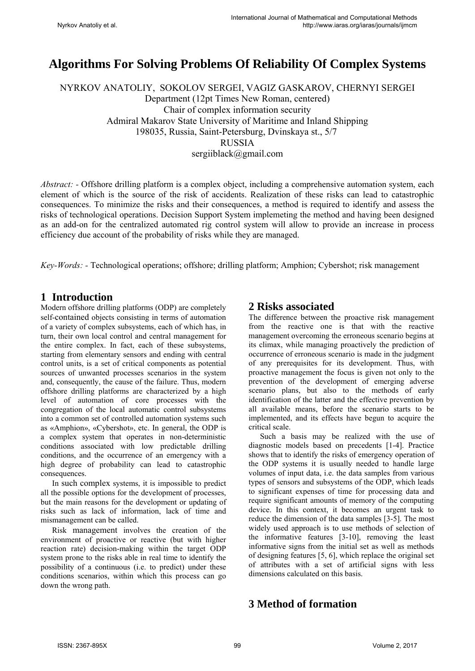# **Algorithms For Solving Problems Of Reliability Of Complex Systems**

NYRKOV ANATOLIY, SOKOLOV SERGEI, VAGIZ GASKAROV, CHERNYI SERGEI Department (12pt Times New Roman, centered) Chair of complex information security Admiral Makarov State University of Maritime and Inland Shipping 198035, Russia, Saint-Petersburg, Dvinskaya st., 5/7 RUSSIA sergiiblack@gmail.com

*Abstract: -* Offshore drilling platform is a complex object, including a comprehensive automation system, each element of which is the source of the risk of accidents. Realization of these risks can lead to catastrophic consequences. To minimize the risks and their consequences, a method is required to identify and assess the risks of technological operations. Decision Support System implemeting the method and having been designed as an add-on for the centralized automated rig control system will allow to provide an increase in process efficiency due account of the probability of risks while they are managed.

*Key-Words: -* Technological operations; offshore; drilling platform; Amphion; Cybershot; risk management

### **1 Introduction**

Modern offshore drilling platforms (ODP) are completely self-contained objects consisting in terms of automation of a variety of complex subsystems, each of which has, in turn, their own local control and central management for the entire complex. In fact, each of these subsystems, starting from elementary sensors and ending with central control units, is a set of critical components as potential sources of unwanted processes scenarios in the system and, consequently, the cause of the failure. Thus, modern offshore drilling platforms are characterized by a high level of automation of core processes with the congregation of the local automatic control subsystems into a common set of controlled automation systems such as «Amphion», «Cybershot», etc. In general, the ODP is a complex system that operates in non-deterministic conditions associated with low predictable drilling conditions, and the occurrence of an emergency with a high degree of probability can lead to catastrophic consequences.

In such complex systems, it is impossible to predict all the possible options for the development of processes, but the main reasons for the development or updating of risks such as lack of information, lack of time and mismanagement can be called.

Risk management involves the creation of the environment of proactive or reactive (but with higher reaction rate) decision-making within the target ODP system prone to the risks able in real time to identify the possibility of a continuous (i.e. to predict) under these conditions scenarios, within which this process can go down the wrong path.

### **2 Risks associated**

The difference between the proactive risk management from the reactive one is that with the reactive management overcoming the erroneous scenario begins at its climax, while managing proactively the prediction of occurrence of erroneous scenario is made in the judgment of any prerequisites for its development. Thus, with proactive management the focus is given not only to the prevention of the development of emerging adverse scenario plans, but also to the methods of early identification of the latter and the effective prevention by all available means, before the scenario starts to be implemented, and its effects have begun to acquire the critical scale.

Such a basis may be realized with the use of diagnostic models based on precedents [1-4]. Practice shows that to identify the risks of emergency operation of the ODP systems it is usually needed to handle large volumes of input data, i.e. the data samples from various types of sensors and subsystems of the ODP, which leads to significant expenses of time for processing data and require significant amounts of memory of the computing device. In this context, it becomes an urgent task to reduce the dimension of the data samples [3-5]. The most widely used approach is to use methods of selection of the informative features [3-10], removing the least informative signs from the initial set as well as methods of designing features [5, 6], which replace the original set of attributes with a set of artificial signs with less dimensions calculated on this basis.

### **3 Method of formation**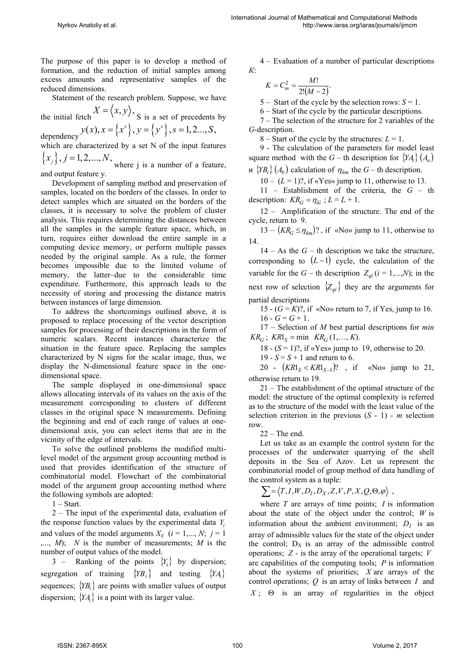The purpose of this paper is to develop a method of formation, and the reduction of initial samples among excess amounts and representative samples of the reduced dimensions.

Statement of the research problem. Suppose, we have

the initial fetch  $X = \langle x, y \rangle$ , S is a set of precedents by dependency  $y(x)$ ,  $x = \{x^{s}\}, y = \{y^{s}\}, s = 1, 2..., S,$ 

which are characterized by a set N of the input features

 ${x_j}$ ,  $j = 1, 2,..., N$ , where j is a number of a feature, and output feature y.

Development of sampling method and preservation of samples, located on the borders of the classes. In order to detect samples which are situated on the borders of the classes, it is necessary to solve the problem of cluster analysis. This requires determining the distances between all the samples in the sample feature space, which, in turn, requires either download the entire sample in a computing device memory, or perform multiple passes needed by the original sample. As a rule, the former becomes impossible due to the limited volume of memory, the latter–due to the considerable time expenditure. Furthermore, this approach leads to the necessity of storing and processing the distance matrix between instances of large dimension.

To address the shortcomings outlined above, it is proposed to replace processing of the vector description samples for processing of their descriptions in the form of numeric scalars. Recent instances characterize the situation in the feature space. Replacing the samples characterized by N signs for the scalar image, thus, we display the N-dimensional feature space in the onedimensional space.

The sample displayed in one-dimensional space allows allocating intervals of its values on the axis of the measurement corresponding to clusters of different classes in the original space N measurements. Defining the beginning and end of each range of values at onedimensional axis, you can select items that are in the vicinity of the edge of intervals.

To solve the outlined problems the modified multilevel model of the argument group accounting method is used that provides identification of the structure of combinatorial model. Flowchart of the combinatorial model of the argument group accounting method where the following symbols are adopted:

1 – Start.

2 – The input of the experimental data, evaluation of the response function values by the experimental data *Yi* and values of the model arguments  $X_{ij}$  ( $i = 1,..., N$ ;  $j = 1$ ,..., *М*); *N* is the number of measurements; *М* is the number of output values of the model.

3 – Ranking of the points  ${Y_i}$  by dispersion; segregation of training  ${YB_i}$  and testing  ${YA_i}$ sequences;  ${YB<sub>i</sub>}$  are points with smaller values of output dispersion;  ${YA<sub>i</sub>}$  is a point with its larger value.

4 – Evaluation of a number of particular descriptions *К*:

$$
K = C_m^2 = \frac{M!}{2!(M-2)}.
$$

 $K = C_m^2 = \frac{M}{2!(M-2)}$ .<br>5 – Start of the cycle by the selection rows: *S* = 1.

6 – Start of the cycle by the particular descriptions.

7 – The selection of the structure for 2 variables of the *G*-description.

8 – Start of the cycle by the structures:  $L = 1$ .

9 - The calculation of the parameters for model least square method with the *G* – th description for  ${YA_i} (A_a)$ 

 $W \{YB_i\} (A_b)$  calculation of  $\eta_{\tilde{n}m}$  the  $G$  – th description.

 $10 - (L = 1)$ ?, if «Yes» jump to 11, otherwise to 13.

11 – Establishment of the criteria, the *G* – th description:  $KR_G = \eta_{\tilde{m}i}$ ;  $L = L + 1$ .

12 – Amplification of the structure. The end of the cycle, return to 9.

 $13 - (KR_G \leq \eta_{\tilde{n}m})$ ?, if «No» jump to 11, otherwise to 14.

 $14 - As the G - th description we take the structure,$ corresponding to  $(L-1)$  cycle, the calculation of the variable for the  $G$  – th description  $Z_{qi}$  ( $i = 1,...,N$ ); in the next row of selection  $\{Z_{qi}\}$  they are the arguments for partial descriptions

15 -  $(G = K)$ ?, if «No» return to 7, if Yes, jump to 16.  $16 - G = G + 1$ .

17 – Selection of *М* best partial descriptions for *mіn*   $KR_G$ ;  $KRl_s = \min$   $KR_G$  (1,…, *K*).

18 -  $(S = 1)$ ?, if «Yes» jump to 19, otherwise to 20.

19 -  $S = S + 1$  and return to 6.

20 -  $(KR1_S < KR1_{S-1})$ ?, if «No» jump to 21, otherwise return to 19.

21 – The establishment of the optimal structure of the model: the structure of the optimal complexity is referred as to the structure of the model with the least value of the selection criterion in the previous  $(S - 1)$  - *m* selection row.

#### $22 -$ The end.

Let us take as an example the control system for the processes of the underwater quarrying of the shell deposits in the Sea of Azov. Let us represent the combinatorial model of group method of data handling of the control system as a tuple:

$$
\sum \!=\! \left\langle T, I, W, D_I, D_X, Z, V, P, X, Q, \Theta, \varphi \right\rangle \;,
$$

where *T* are arrays of time points; *I* is information about the state of the object under the control; *W* is information about the ambient environment;  $D_I$  is an array of admissible values for the state of the object under the control;  $D_X$  is an array of the admissible control operations; *Z* - is the array of the operational targets; *V* are capabilities of the computing tools; *P* is information about the systems of priorities; *X* are arrays of the control operations; *Q* is an array of links between *I* and  $X$ ;  $\Theta$  is an array of regularities in the object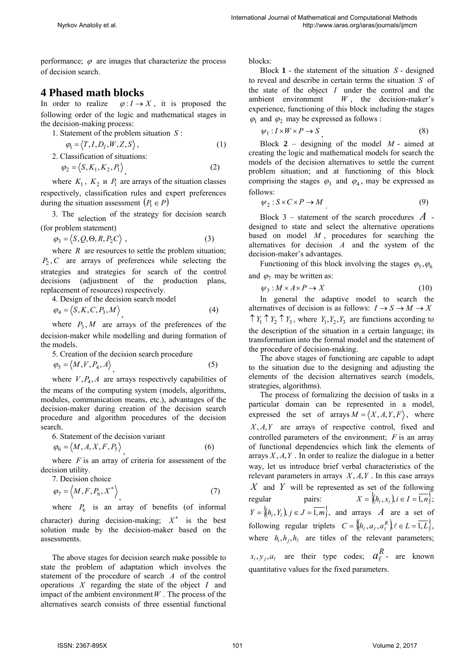performance;  $\varphi$  are images that characterize the process of decision search.

## **4 Phased math blocks**

In order to realize  $\varphi: I \to X$ , it is proposed the following order of the logic and mathematical stages in the decision-making process:

1. Statement of the problem situation *S* :

$$
\varphi_1 = \langle T, I, D_I, W, Z, S \rangle, \tag{1}
$$

2. Classification of situations:

$$
\varphi_2 = \langle S, K_1, K_2, P_1 \rangle \tag{2}
$$

where  $K_1$ ,  $K_2$  u  $P_1$  are arrays of the situation classes respectively, classification rules and expert preferences during the situation assessment  $(P_1 \in P)$ 

3. The selection of the strategy for decision search (for problem statement)

$$
\varphi_3 = \langle S, Q, \Theta, R, P_2 C \rangle \tag{3}
$$

where  $R$  are resources to settle the problem situation;  $P_2$ ,  $C$  are arrays of preferences while selecting the strategies and strategies for search of the control decisions (adjustment of the production plans, replacement of resources) respectively.

4. Design of the decision search model

$$
\varphi_4 = \langle S, K, C, P_3, M \rangle \tag{4}
$$

where  $P_3$ , *M* are arrays of the preferences of the decision-maker while modelling and during formation of the models.

5. Creation of the decision search procedure

$$
\varphi_5 = \langle M, V, P_4, A \rangle \tag{5}
$$

where  $V, P_4, A$  are arrays respectively capabilities of the means of the computing system (models, algorithms, modules, communication means, etc.), advantages of the decision-maker during creation of the decision search procedure and algorithm procedures of the decision search.

6. Statement of the decision variant

$$
\varphi_6 = \langle M, A, X, F, P_5 \rangle \tag{6}
$$

where *F* is an array of criteria for assessment of the decision utility.

7. Decision choice

$$
\varphi_7 = \left\langle M, F, P_6, X^* \right\rangle, \tag{7}
$$

where  $P_6$  is an array of benefits (of informal character) during decision-making;  $X^*$  is the best solution made by the decision-maker based on the assessments.

The above stages for decision search make possible to state the problem of adaptation which involves the statement of the procedure of search *A* of the control operations *X* regarding the state of the object *I* and impact of the ambient environment  $W$ . The process of the alternatives search consists of three essential functional

blocks:

Block **1** - the statement of the situation *S* - designed to reveal and describe in certain terms the situation *S* of the state of the object *I* under the control and the ambient environment *W* , the decision-maker's experience, functioning of this block including the stages  $\varphi_1$  and  $\varphi_2$  may be expressed as follows :

$$
\psi_1: I \times W \times P \to S \tag{8}
$$

Block  $2$  – designing of the model  $M$  - aimed at creating the logic and mathematical models for search the models of the decision alternatives to settle the current problem situation; and at functioning of this block comprising the stages  $\varphi_3$  and  $\varphi_4$ , may be expressed as follows:

$$
\psi_2: S \times C \times P \to M \tag{9}
$$

Block 3 – statement of the search procedures *A* designed to state and select the alternative operations based on model *M* , procedures for searching the alternatives for decision *A* and the system of the decision-maker's advantages.

Functioning of this block involving the stages  $\varphi_5$ ,  $\varphi_6$ and  $\varphi_7$  may be written as:

$$
\psi_3: M \times A \times P \to X \tag{10}
$$

In general the adaptive model to search the alternatives of decision is as follows:  $I \rightarrow S \rightarrow M \rightarrow X$  $\uparrow$  *Y<sub>1</sub>*  $\uparrow$  *Y<sub>2</sub>*,  $\uparrow$  *Y<sub>3</sub>*, where *Y<sub>1</sub>*, *Y<sub>2</sub>*, *Y<sub>3</sub>* are functions according to the description of the situation in a certain language; its transformation into the formal model and the statement of the procedure of decision-making.

The above stages of functioning are capable to adapt to the situation due to the designing and adjusting the elements of the decision alternatives search (models, strategies, algorithms).

The process of formalizing the decision of tasks in a particular domain can be represented in a model, expressed the set of arrays  $M = \langle X, A, Y, F \rangle$ , where X, A, *Y* are arrays of respective control, fixed and controlled parameters of the environment; *F* is an array of functional dependencies which link the elements of arrays  $X, A, Y$ . In order to realize the dialogue in a better way, let us introduce brief verbal characteristics of the relevant parameters in arrays  $X, A, Y$ . In this case arrays *X* and *Y* will be represented as set of the following regular pairs:  $X = \{(h_i, x_i)\}\$ i  $\in I = \overline{1, n}\}$ .  $Y = \{(h_i, Y_i)\}\$ *i*  $\in J = \overline{1,m}\}$ , and arrays *A* are a set of following regular triplets  $C = \{h_\ell, a_\ell, a_\ell^R\}$   $\ell \in L = \overline{1, L}\},\$ where  $h_i, h_j, h_\ell$  are titles of the relevant parameters;  $f(x_i, y_j, a_\ell)$  are their type codes;  $a_\ell^R$ - are known

quantitative values for the fixed parameters.